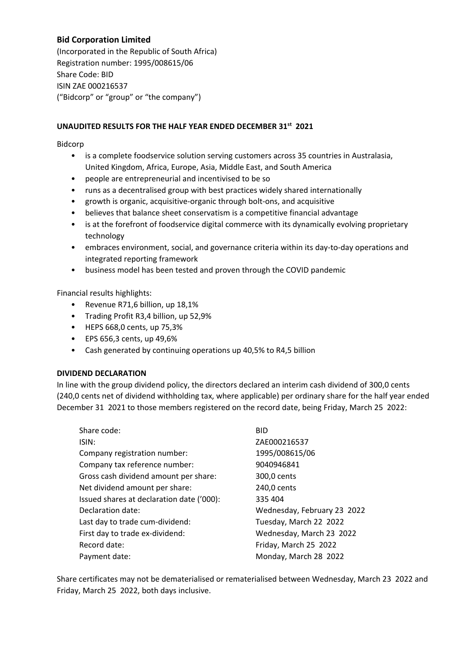## **Bid Corporation Limited**

(Incorporated in the Republic of South Africa) Registration number: 1995/008615/06 Share Code: BID ISIN ZAE 000216537 ("Bidcorp" or "group" or "the company")

## **UNAUDITED RESULTS FOR THE HALF YEAR ENDED DECEMBER 31st 2021**

Bidcorp

- is a complete foodservice solution serving customers across 35 countries in Australasia, United Kingdom, Africa, Europe, Asia, Middle East, and South America
- people are entrepreneurial and incentivised to be so
- runs as a decentralised group with best practices widely shared internationally
- growth is organic, acquisitive‐organic through bolt‐ons, and acquisitive
- believes that balance sheet conservatism is a competitive financial advantage
- is at the forefront of foodservice digital commerce with its dynamically evolving proprietary technology
- embraces environment, social, and governance criteria within its day-to-day operations and integrated reporting framework
- business model has been tested and proven through the COVID pandemic

Financial results highlights:

- Revenue R71,6 billion, up 18,1%
- Trading Profit R3,4 billion, up 52,9%
- HEPS 668,0 cents, up 75,3%
- EPS 656,3 cents, up 49,6%
- Cash generated by continuing operations up 40,5% to R4,5 billion

## **DIVIDEND DECLARATION**

In line with the group dividend policy, the directors declared an interim cash dividend of 300,0 cents (240,0 cents net of dividend withholding tax, where applicable) per ordinary share for the half year ended December 31 2021 to those members registered on the record date, being Friday, March 25 2022:

| Share code:                               | <b>BID</b>                  |
|-------------------------------------------|-----------------------------|
| ISIN:                                     | ZAE000216537                |
| Company registration number:              | 1995/008615/06              |
| Company tax reference number:             | 9040946841                  |
| Gross cash dividend amount per share:     | 300,0 cents                 |
| Net dividend amount per share:            | 240,0 cents                 |
| Issued shares at declaration date ('000): | 335 404                     |
| Declaration date:                         | Wednesday, February 23 2022 |
| Last day to trade cum-dividend:           | Tuesday, March 22 2022      |
| First day to trade ex-dividend:           | Wednesday, March 23 2022    |
| Record date:                              | Friday, March 25 2022       |
| Payment date:                             | Monday, March 28 2022       |

Share certificates may not be dematerialised or rematerialised between Wednesday, March 23 2022 and Friday, March 25 2022, both days inclusive.